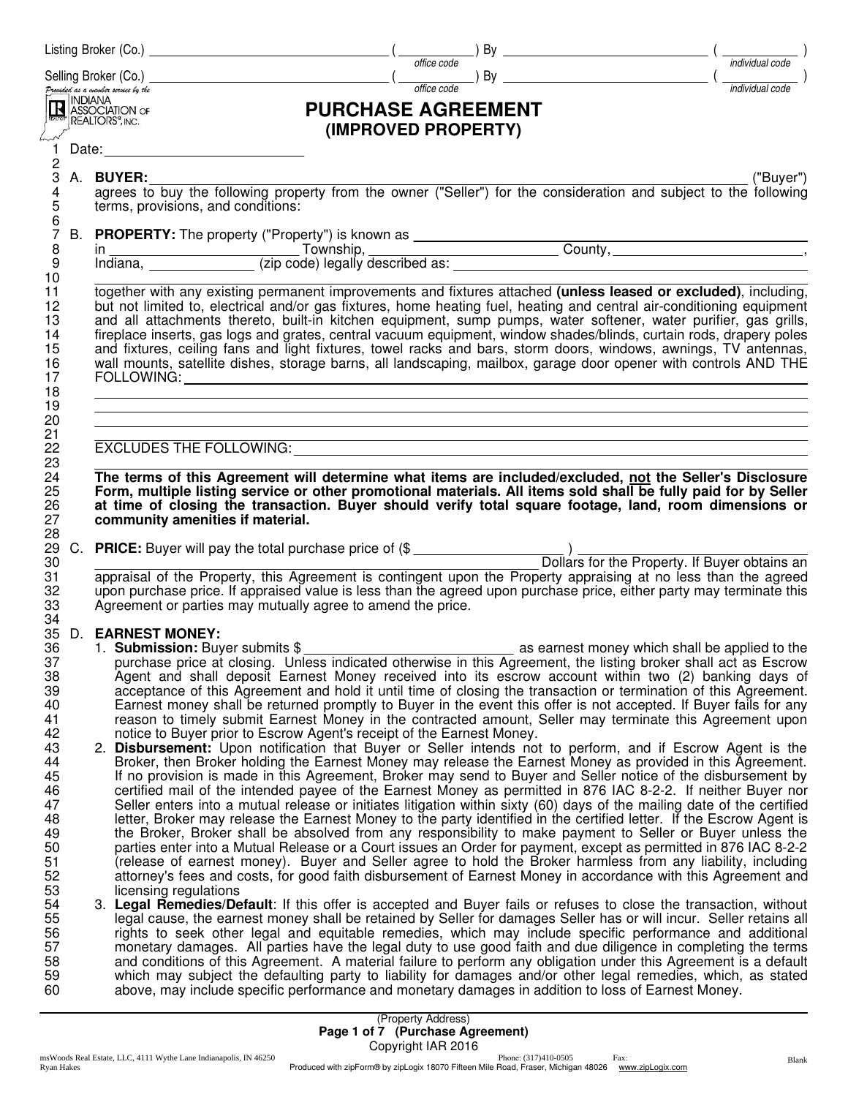|                                                          |                                                                                                                                                                                                                                                                                                        | individual code                                                                                                                                                                                                                                                                                                                                                                                                                                                                                                                                                                                                                                                                                                                                                                                                                                                                                                                                                                                                                                                                            |  |  |  |  |  |
|----------------------------------------------------------|--------------------------------------------------------------------------------------------------------------------------------------------------------------------------------------------------------------------------------------------------------------------------------------------------------|--------------------------------------------------------------------------------------------------------------------------------------------------------------------------------------------------------------------------------------------------------------------------------------------------------------------------------------------------------------------------------------------------------------------------------------------------------------------------------------------------------------------------------------------------------------------------------------------------------------------------------------------------------------------------------------------------------------------------------------------------------------------------------------------------------------------------------------------------------------------------------------------------------------------------------------------------------------------------------------------------------------------------------------------------------------------------------------------|--|--|--|--|--|
|                                                          |                                                                                                                                                                                                                                                                                                        | office code<br>individual code<br>$\blacksquare$ INDIANA<br><b>R</b> ASSOCIATION OF<br><b>PURCHASE AGREEMENT</b>                                                                                                                                                                                                                                                                                                                                                                                                                                                                                                                                                                                                                                                                                                                                                                                                                                                                                                                                                                           |  |  |  |  |  |
|                                                          |                                                                                                                                                                                                                                                                                                        | REALTORS <sup>®</sup> , INC.<br>(IMPROVED PROPERTY)                                                                                                                                                                                                                                                                                                                                                                                                                                                                                                                                                                                                                                                                                                                                                                                                                                                                                                                                                                                                                                        |  |  |  |  |  |
|                                                          |                                                                                                                                                                                                                                                                                                        |                                                                                                                                                                                                                                                                                                                                                                                                                                                                                                                                                                                                                                                                                                                                                                                                                                                                                                                                                                                                                                                                                            |  |  |  |  |  |
| $\overline{c}$<br>3                                      |                                                                                                                                                                                                                                                                                                        | A. BUYER:<br>_ ("Buyer")                                                                                                                                                                                                                                                                                                                                                                                                                                                                                                                                                                                                                                                                                                                                                                                                                                                                                                                                                                                                                                                                   |  |  |  |  |  |
| 4<br>5<br>6                                              |                                                                                                                                                                                                                                                                                                        | agrees to buy the following property from the owner ("Seller") for the consideration and subject to the following<br>terms, provisions, and conditions:                                                                                                                                                                                                                                                                                                                                                                                                                                                                                                                                                                                                                                                                                                                                                                                                                                                                                                                                    |  |  |  |  |  |
| $\overline{7}$                                           |                                                                                                                                                                                                                                                                                                        |                                                                                                                                                                                                                                                                                                                                                                                                                                                                                                                                                                                                                                                                                                                                                                                                                                                                                                                                                                                                                                                                                            |  |  |  |  |  |
| 8<br>9                                                   |                                                                                                                                                                                                                                                                                                        |                                                                                                                                                                                                                                                                                                                                                                                                                                                                                                                                                                                                                                                                                                                                                                                                                                                                                                                                                                                                                                                                                            |  |  |  |  |  |
| 10                                                       |                                                                                                                                                                                                                                                                                                        |                                                                                                                                                                                                                                                                                                                                                                                                                                                                                                                                                                                                                                                                                                                                                                                                                                                                                                                                                                                                                                                                                            |  |  |  |  |  |
| 11<br>12<br>13<br>14<br>15<br>16<br>17<br>18<br>19       |                                                                                                                                                                                                                                                                                                        | together with any existing permanent improvements and fixtures attached (unless leased or excluded), including,<br>but not limited to, electrical and/or gas fixtures, home heating fuel, heating and central air-conditioning equipment<br>and all attachments thereto, built-in kitchen equipment, sump pumps, water softener, water purifier, gas grills,<br>fireplace inserts, gas logs and grates, central vacuum equipment, window shades/blinds, curtain rods, drapery poles<br>and fixtures, ceiling fans and light fixtures, towel racks and bars, storm doors, windows, awnings, TV antennas,<br>wall mounts, satellite dishes, storage barns, all landscaping, mailbox, garage door opener with controls AND THE                                                                                                                                                                                                                                                                                                                                                                |  |  |  |  |  |
| 20                                                       |                                                                                                                                                                                                                                                                                                        |                                                                                                                                                                                                                                                                                                                                                                                                                                                                                                                                                                                                                                                                                                                                                                                                                                                                                                                                                                                                                                                                                            |  |  |  |  |  |
| 21<br>22                                                 |                                                                                                                                                                                                                                                                                                        | EXCLUDES THE FOLLOWING: University of the STATE STATE of the STATE STATE STATE STATE STATE STATE STATE STATE S                                                                                                                                                                                                                                                                                                                                                                                                                                                                                                                                                                                                                                                                                                                                                                                                                                                                                                                                                                             |  |  |  |  |  |
| 23                                                       |                                                                                                                                                                                                                                                                                                        |                                                                                                                                                                                                                                                                                                                                                                                                                                                                                                                                                                                                                                                                                                                                                                                                                                                                                                                                                                                                                                                                                            |  |  |  |  |  |
| 24<br>25<br>26<br>27<br>28                               |                                                                                                                                                                                                                                                                                                        | The terms of this Agreement will determine what items are included/excluded, not the Seller's Disclosure<br>Form, multiple listing service or other promotional materials. All items sold shall be fully paid for by Seller<br>at time of closing the transaction. Buyer should verify total square footage, land, room dimensions or<br>community amenities if material.                                                                                                                                                                                                                                                                                                                                                                                                                                                                                                                                                                                                                                                                                                                  |  |  |  |  |  |
| 29                                                       |                                                                                                                                                                                                                                                                                                        | C. <b>PRICE:</b> Buyer will pay the total purchase price of $(\$\_$ Dollars for the Property. If Buyer obtains an                                                                                                                                                                                                                                                                                                                                                                                                                                                                                                                                                                                                                                                                                                                                                                                                                                                                                                                                                                          |  |  |  |  |  |
| 30<br>31<br>32<br>33<br>34                               | appraisal of the Property, this Agreement is contingent upon the Property appraising at no less than the agreed<br>upon purchase price. If appraised value is less than the agreed upon purchase price, either party may terminate this<br>Agreement or parties may mutually agree to amend the price. |                                                                                                                                                                                                                                                                                                                                                                                                                                                                                                                                                                                                                                                                                                                                                                                                                                                                                                                                                                                                                                                                                            |  |  |  |  |  |
| 35                                                       |                                                                                                                                                                                                                                                                                                        | D. EARNEST MONEY:                                                                                                                                                                                                                                                                                                                                                                                                                                                                                                                                                                                                                                                                                                                                                                                                                                                                                                                                                                                                                                                                          |  |  |  |  |  |
| 36<br>37<br>38<br>39<br>40<br>41<br>42<br>43             |                                                                                                                                                                                                                                                                                                        | 1. Submission: Buyer submits \$<br>as earnest money which shall be applied to the<br>purchase price at closing. Unless indicated otherwise in this Agreement, the listing broker shall act as Escrow<br>Agent and shall deposit Earnest Money received into its escrow account within two (2) banking days of<br>acceptance of this Agreement and hold it until time of closing the transaction or termination of this Agreement.<br>Earnest money shall be returned promptly to Buyer in the event this offer is not accepted. If Buyer fails for any<br>reason to timely submit Earnest Money in the contracted amount, Seller may terminate this Agreement upon<br>notice to Buyer prior to Escrow Agent's receipt of the Earnest Money.<br>2. Disbursement: Upon notification that Buyer or Seller intends not to perform, and if Escrow Agent is the                                                                                                                                                                                                                                  |  |  |  |  |  |
| 44<br>45<br>46<br>47<br>48<br>49<br>50<br>51<br>52<br>53 |                                                                                                                                                                                                                                                                                                        | Broker, then Broker holding the Earnest Money may release the Earnest Money as provided in this Agreement.<br>If no provision is made in this Agreement, Broker may send to Buyer and Seller notice of the disbursement by<br>certified mail of the intended payee of the Earnest Money as permitted in 876 IAC 8-2-2. If neither Buyer nor<br>Seller enters into a mutual release or initiates litigation within sixty (60) days of the mailing date of the certified<br>letter, Broker may release the Earnest Money to the party identified in the certified letter. If the Escrow Agent is<br>the Broker, Broker shall be absolved from any responsibility to make payment to Seller or Buyer unless the<br>parties enter into a Mutual Release or a Court issues an Order for payment, except as permitted in 876 IAC 8-2-2<br>(release of earnest money). Buyer and Seller agree to hold the Broker harmless from any liability, including<br>attorney's fees and costs, for good faith disbursement of Earnest Money in accordance with this Agreement and<br>licensing regulations |  |  |  |  |  |
| 54<br>55<br>56<br>57<br>58<br>59<br>60                   |                                                                                                                                                                                                                                                                                                        | 3. Legal Remedies/Default: If this offer is accepted and Buyer fails or refuses to close the transaction, without<br>legal cause, the earnest money shall be retained by Seller for damages Seller has or will incur. Seller retains all<br>rights to seek other legal and equitable remedies, which may include specific performance and additional<br>monetary damages. All parties have the legal duty to use good faith and due diligence in completing the terms<br>and conditions of this Agreement. A material failure to perform any obligation under this Agreement is a default<br>which may subject the defaulting party to liability for damages and/or other legal remedies, which, as stated<br>above, may include specific performance and monetary damages in addition to loss of Earnest Money.                                                                                                                                                                                                                                                                           |  |  |  |  |  |
|                                                          |                                                                                                                                                                                                                                                                                                        | (Property Address)                                                                                                                                                                                                                                                                                                                                                                                                                                                                                                                                                                                                                                                                                                                                                                                                                                                                                                                                                                                                                                                                         |  |  |  |  |  |

**Page 1 of 7 (Purchase Agreement)**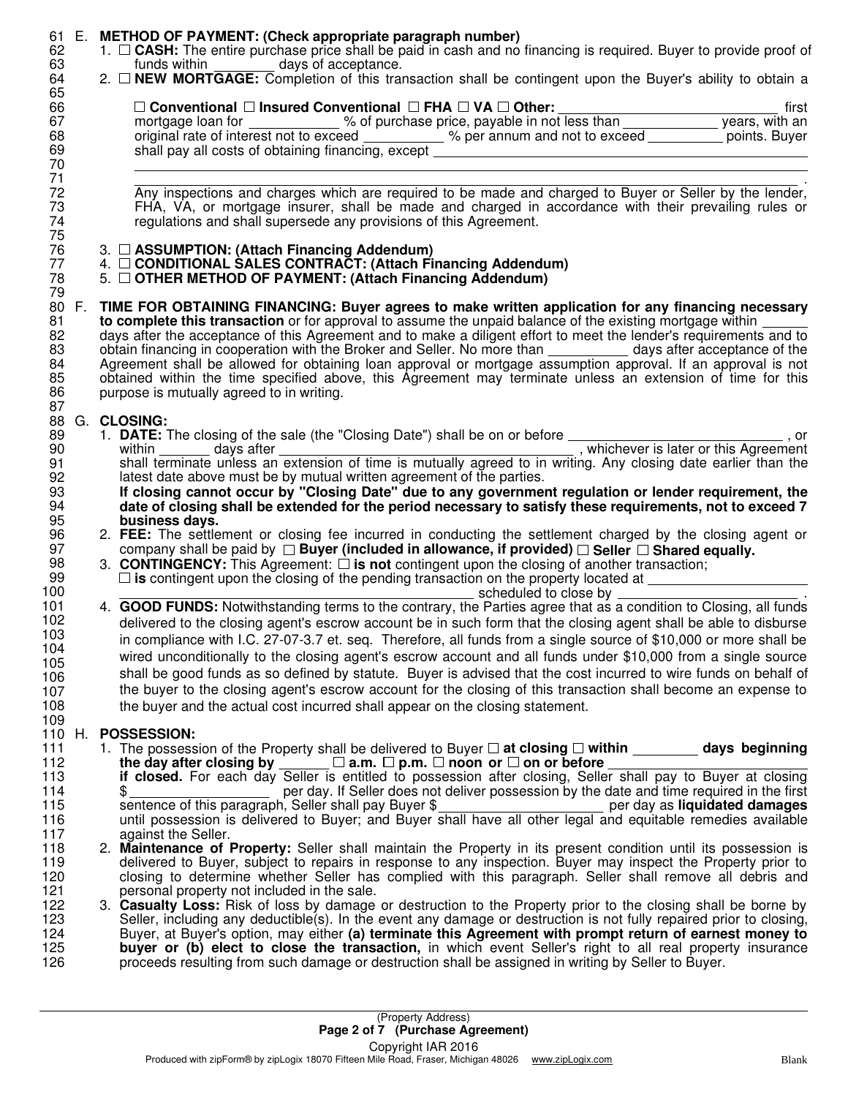#### 1. The possession of the Property shall be delivered to Buyer  $\Box$  at closing  $\Box$  within \_\_\_\_\_\_\_\_ days beginning days after the acceptance of this Agreement and to make a diligent effort to meet the lender's requirements and to obtain financing in cooperation with the Broker and Seller. No more than Agreement shall be allowed for obtaining loan approval or mortgage assumption approval. If an approval is not purpose is mutually agreed to in writing. G. **CLOSING:** , or within days after **days after the contract of the contract of the Agreement** of this Agreement shall terminate unless an extension of time is mutually agreed to in writing. Any closing date earlier than the  $\,$  company shall be paid by  $\,\Box$   $\,$  Buyer (included in allowance, if provided)  $\Box$   $\,$  Seller  $\,\Box$   $\,$  Shared equally. 110 H. **POSSESSION:** the day after closing by \_\_\_\_\_\_ □ a.m. □ p.m. □ noon or □ on or before sentence of this paragraph, Seller shall pay Buyer \$ until possession is delivered to Buyer; and Buyer shall have all other legal and equitable remedies available against the Seller. 2. **Maintenance of Property:** Seller shall maintain the Property in its present condition until its possession is delivered to Buyer, subject to repairs in response to any inspection. Buyer may inspect the Property prior to closing to determine whether Seller has complied with this paragraph. Seller shall remove all debris and 3. **Casualty Loss:** Risk of loss by damage or destruction to the Property prior to the closing shall be borne by Seller, including any deductible(s). In the event any damage or destruction is not fully repaired prior to closing, Buyer, at Buyer's option, may either **(a) terminate this Agreement with prompt return of earnest money to buyer or (b) elect to close the transaction,** in which event Seller's right to all real property insurance 3. **ASSUMPTION: (Attach Financing Addendum)** 4. **CONDITIONAL SALES CONTRACT: (Attach Financing Addendum)** 5. **OTHER METHOD OF PAYMENT: (Attach Financing Addendum)** F. **TIME FOR OBTAINING FINANCING: Buyer agrees to make written application for any financing necessary to complete this transaction** or for approval to assume the unpaid balance of the existing mortgage within Any inspections and charges which are required to be made and charged to Buyer or Seller by the lender, FHA, VA, or mortgage insurer, shall be made and charged in accordance with their prevailing rules or regulations and shall supersede any provisions of this Agreement. 61 E. **METHOD OF PAYMENT: (Check appropriate paragraph number)** 62 63 64 65 66 67 68 69 70 71 72 73 74 75 76 77 78 79 80 F. 81 82 83 84 85 86 87 88 89 90 91 92 93 94 95 96 97 98 99 100 101 102 103 104 105 106 107 108 109 111 112 113 114 115 116 117 118 119 120 121 122 days after acceptance of the obtained within the time specified above, this Agreement may terminate unless an extension of time for this if closed. For each day Seller is entitled to possession after closing, Seller shall pay to Buyer at closing per day. If Seller does not deliver possession by the date and time required in the first personal property not included in the sale. proceeds resulting from such damage or destruction shall be assigned in writing by Seller to Buyer. 123 3. CONTINGENCY: This Agreement:  $\square$  is not contingent upon the closing of another transaction;  $\square$  is contingent upon the closing of the pending transaction on the property located at  $\square$  $\_$  scheduled to close by  $\_$  $\mathfrak{F}$ per day as **liquidated damages** 124 125 . 1. **CASH:** The entire purchase price shall be paid in cash and no financing is required. Buyer to provide proof of 2. **NEW MORTGAGE:** Completion of this transaction shall be contingent upon the Buyer's ability to obtain a □ **Conventional** □ **Insured Conventional** □ **FHA** □ **VA** □ **Other:** <u><u>\_\_\_\_\_\_\_\_\_\_\_\_\_\_\_\_\_\_\_\_\_\_\_\_\_</u> first mortgage loan for \_\_\_\_\_\_\_\_\_\_\_\_ % of purchase price, payable in not less than \_\_\_\_\_\_\_\_\_\_\_\_\_ years, with an</u> mortgage loan for  $\frac{9}{2}$  % of purchase price, payable in not less than original rate of interest not to exceed  $\_$ % per annum and not to exceed  $\_\_\_\_\_$ points. Buyer shall pay all costs of obtaining financing, except . 126 1. **DATE:** The closing of the sale (the "Closing Date") shall be on or before latest date above must be by mutual written agreement of the parties. **If closing cannot occur by "Closing Date" due to any government regulation or lender requirement, the date of closing shall be extended for the period necessary to satisfy these requirements, not to exceed 7 business days.** 2. **FEE:** The settlement or closing fee incurred in conducting the settlement charged by the closing agent or 4. **GOOD FUNDS:** Notwithstanding terms to the contrary, the Parties agree that as a condition to Closing, all funds delivered to the closing agent's escrow account be in such form that the closing agent shall be able to disburse in compliance with I.C. 27-07-3.7 et. seq. Therefore, all funds from a single source of \$10,000 or more shall be wired unconditionally to the closing agent's escrow account and all funds under \$10,000 from a single source shall be good funds as so defined by statute. Buyer is advised that the cost incurred to wire funds on behalf of the buyer to the closing agent's escrow account for the closing of this transaction shall become an expense to the buyer and the actual cost incurred shall appear on the closing statement. funds within days of acceptance.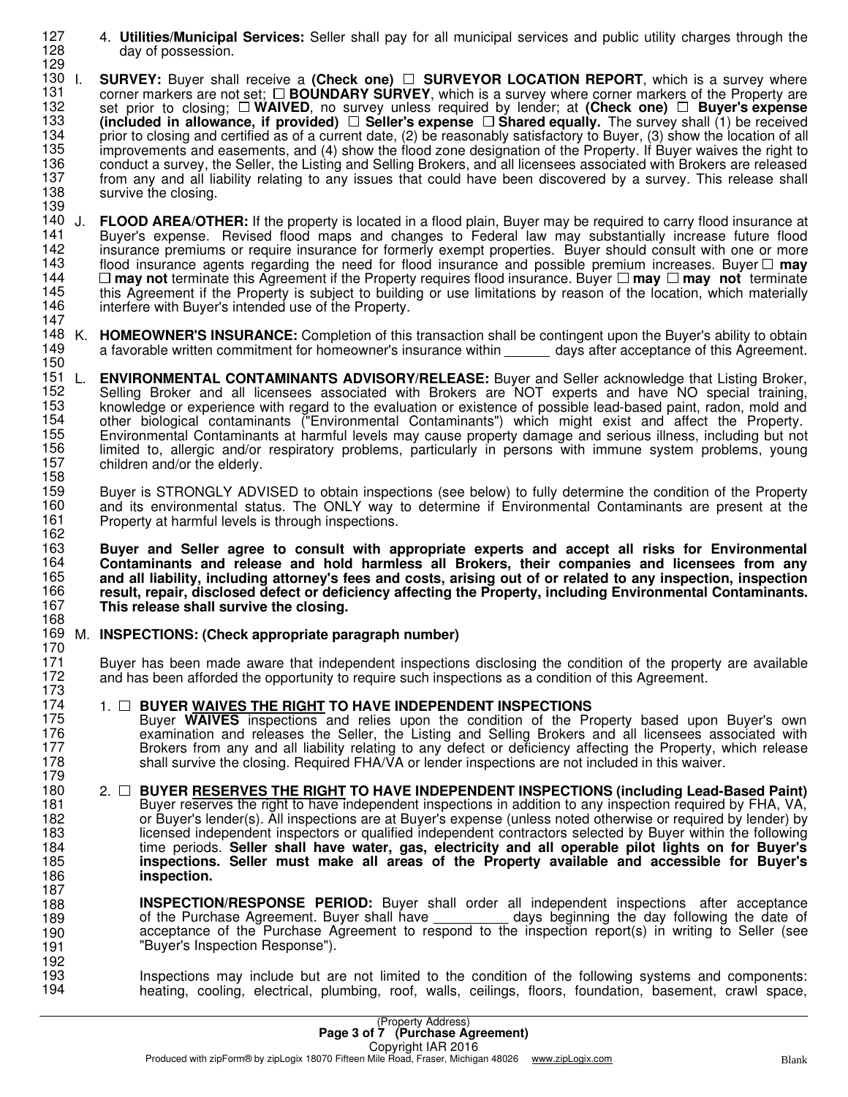- 128 129 4. **Utilities/Municipal Services:** Seller shall pay for all municipal services and public utility charges through the day of possession. 127
- $130$  I. 131 132 133 134 135 136 137 138 139 set prior to closing;  $\Box$  WAIVED, no survey unless required by lender; at (Check one)  $\Box$  Buyer's expense **(included in allowance, if provided)**  $\Box$  **Seller's expense**  $\Box$  **Shared equally.** The survey shall (1) be received prior to closing and certified as of a current date, (2) be reasonably satisfactory to Buyer, (3) show the location of all improvements and easements, and (4) show the flood zone designation of the Property. If Buyer waives the right to conduct a survey, the Seller, the Listing and Selling Brokers, and all licensees associated with Brokers are released from any and all liability relating to any issues that could have been discovered by a survey. This release shall survive the closing. **SURVEY:** Buyer shall receive a **(Check one)**  $\Box$  **SURVEYOR LOCATION REPORT**, which is a survey where corner markers are not set; **BOUNDARY SURVEY**, which is a survey where corner markers of the Property are
- 140 J. 141 142 143 144 145 146 147 **FLOOD AREA/OTHER:** If the property is located in a flood plain, Buyer may be required to carry flood insurance at Buyer's expense. Revised flood maps and changes to Federal law may substantially increase future flood insurance premiums or require insurance for formerly exempt properties. Buyer should consult with one or more flood insurance agents regarding the need for flood insurance and possible premium increases. Buyer  $\Box$  **may**  $\Box$  may not terminate this Agreement if the Property requires flood insurance. Buyer  $\Box$  may  $\Box$  may not terminate this Agreement if the Property is subject to building or use limitations by reason of the location, which materially interfere with Buyer's intended use of the Property.
- 148 K. 149 150 HOMEOWNER'S INSURANCE: Completion of this transaction shall be contingent upon the Buyer's ability to obtain a favorable written commitment for homeowner's insurance within days after acceptance of this Agreement.
- 151 L. 152 153 154 155 156 157 158 L. **ENVIRONMENTAL CONTAMINANTS ADVISORY/RELEASE:** Buyer and Seller acknowledge that Listing Broker, Selling Broker and all licensees associated with Brokers are NOT experts and have NO special training, knowledge or experience with regard to the evaluation or existence of possible lead-based paint, radon, mold and other biological contaminants ("Environmental Contaminants") which might exist and affect the Property. Environmental Contaminants at harmful levels may cause property damage and serious illness, including but not limited to, allergic and/or respiratory problems, particularly in persons with immune system problems, young children and/or the elderly.
- 159 160 161 162 Buyer is STRONGLY ADVISED to obtain inspections (see below) to fully determine the condition of the Property and its environmental status. The ONLY way to determine if Environmental Contaminants are present at the Property at harmful levels is through inspections.
- 163 164 165 166 167 168 **result, repair, disclosed defect or deficiency affecting the Property, including Environmental Contaminants. This release shall survive the closing. Buyer and Seller agree to consult with appropriate experts and accept all risks for Environmental Contaminants and release and hold harmless all Brokers, their companies and licensees from any and all liability, including attorney's fees and costs, arising out of or related to any inspection, inspection**

### 169 M. **INSPECTIONS: (Check appropriate paragraph number)** 170

Buyer has been made aware that independent inspections disclosing the condition of the property are available and has been afforded the opportunity to require such inspections as a condition of this Agreement.

1. **BUYER WAIVES THE RIGHT TO HAVE INDEPENDENT INSPECTIONS**

Buyer **WAIVES** inspections and relies upon the condition of the Property based upon Buyer's own examination and releases the Seller, the Listing and Selling Brokers and all licensees associated with Brokers from any and all liability relating to any defect or deficiency affecting the Property, which release shall survive the closing. Required FHA/VA or lender inspections are not included in this waiver.

- 2. **BUYER RESERVES THE RIGHT TO HAVE INDEPENDENT INSPECTIONS (including Lead-Based Paint)** Buyer reserves the right to have independent inspections in addition to any inspection required by FHA, VA, or Buyer's lender(s). All inspections are at Buyer's expense (unless noted otherwise or required by lender) by licensed independent inspectors or qualified independent contractors selected by Buyer within the following time periods. **Seller shall have water, gas, electricity and all operable pilot lights on for Buyer's inspections. Seller must make all areas of the Property available and accessible for Buyer's inspection.**
- **INSPECTION/RESPONSE PERIOD:** Buyer shall order all independent inspections after acceptance days beginning the day following the date of "Buyer's Inspection Response"). of the Purchase Agreement. Buyer shall have acceptance of the Purchase Agreement to respond to the inspection report(s) in writing to Seller (see 187 188 189 190 191 192
- 193 194 Inspections may include but are not limited to the condition of the following systems and components: heating, cooling, electrical, plumbing, roof, walls, ceilings, floors, foundation, basement, crawl space,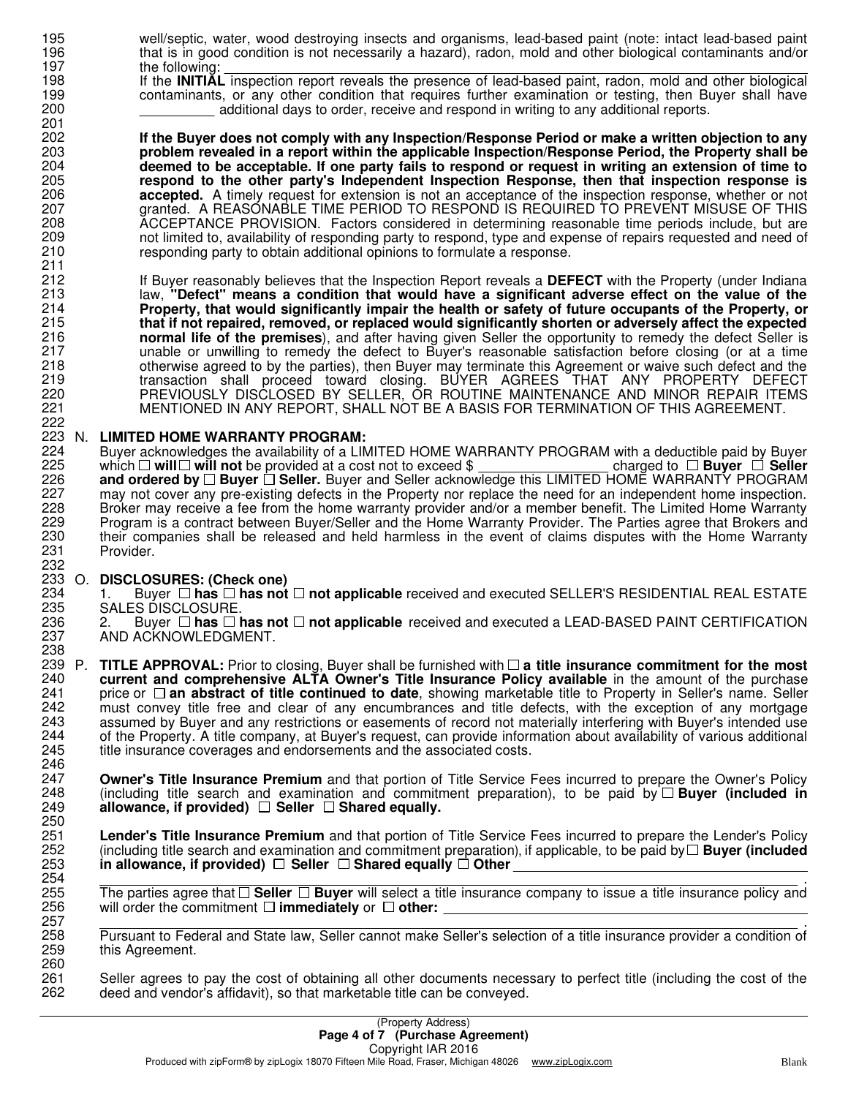| 195<br>196<br>197                                                         | well/septic, water, wood destroying insects and organisms, lead-based paint (note: intact lead-based paint<br>that is in good condition is not necessarily a hazard), radon, mold and other biological contaminants and/or<br>the following:                                                                                                                                                                                                                                                                                                                                                                                                                                                                                                                                                                                                                                                                                                                                                                                              |
|---------------------------------------------------------------------------|-------------------------------------------------------------------------------------------------------------------------------------------------------------------------------------------------------------------------------------------------------------------------------------------------------------------------------------------------------------------------------------------------------------------------------------------------------------------------------------------------------------------------------------------------------------------------------------------------------------------------------------------------------------------------------------------------------------------------------------------------------------------------------------------------------------------------------------------------------------------------------------------------------------------------------------------------------------------------------------------------------------------------------------------|
| 198<br>199<br>200<br>201                                                  | If the <b>INITIAL</b> inspection report reveals the presence of lead-based paint, radon, mold and other biological<br>contaminants, or any other condition that requires further examination or testing, then Buyer shall have<br>additional days to order, receive and respond in writing to any additional reports.                                                                                                                                                                                                                                                                                                                                                                                                                                                                                                                                                                                                                                                                                                                     |
| 202<br>203<br>204<br>205<br>206<br>207<br>208<br>209<br>210<br>211        | If the Buyer does not comply with any Inspection/Response Period or make a written objection to any<br>problem revealed in a report within the applicable Inspection/Response Period, the Property shall be<br>deemed to be acceptable. If one party fails to respond or request in writing an extension of time to<br>respond to the other party's Independent Inspection Response, then that inspection response is<br>accepted. A timely request for extension is not an acceptance of the inspection response, whether or not<br>granted. A REASONABLE TIME PERIOD TO RESPOND IS REQUIRED TO PREVENT MISUSE OF THIS<br>ACCEPTANCE PROVISION. Factors considered in determining reasonable time periods include, but are<br>not limited to, availability of responding party to respond, type and expense of repairs requested and need of<br>responding party to obtain additional opinions to formulate a response.                                                                                                                  |
| 212<br>213<br>214<br>215<br>216<br>217<br>218<br>219<br>220<br>221<br>222 | If Buyer reasonably believes that the Inspection Report reveals a DEFECT with the Property (under Indiana<br>law, "Defect" means a condition that would have a significant adverse effect on the value of the<br>Property, that would significantly impair the health or safety of future occupants of the Property, or<br>that if not repaired, removed, or replaced would significantly shorten or adversely affect the expected<br><b>normal life of the premises</b> ), and after having given Seller the opportunity to remedy the defect Seller is<br>unable or unwilling to remedy the defect to Buyer's reasonable satisfaction before closing (or at a time<br>otherwise agreed to by the parties), then Buyer may terminate this Agreement or waive such defect and the<br>transaction shall proceed toward closing. BUYER AGREES THAT ANY PROPERTY DEFECT<br>PREVIOUSLY DISCLOSED BY SELLER, OR ROUTINE MAINTENANCE AND MINOR REPAIR ITEMS<br>MENTIONED IN ANY REPORT, SHALL NOT BE A BASIS FOR TERMINATION OF THIS AGREEMENT. |
| 223 N.<br>224<br>225<br>226<br>227<br>228<br>229<br>230<br>231<br>232     | <b>LIMITED HOME WARRANTY PROGRAM:</b><br>Buyer acknowledges the availability of a LIMITED HOME WARRANTY PROGRAM with a deductible paid by Buyer<br>which $\Box$ will $\Box$ will not be provided at a cost not to exceed \$<br>charged to $\Box$ Buyer $\Box$ Seller<br>and ordered by □ Buyer □ Seller. Buyer and Seller acknowledge this LIMITED HOME WARRANTY PROGRAM<br>may not cover any pre-existing defects in the Property nor replace the need for an independent home inspection.<br>Broker may receive a fee from the home warranty provider and/or a member benefit. The Limited Home Warranty<br>Program is a contract between Buyer/Seller and the Home Warranty Provider. The Parties agree that Brokers and<br>their companies shall be released and held harmless in the event of claims disputes with the Home Warranty<br>Provider.                                                                                                                                                                                    |
| 233 O.<br>234<br>235<br>236<br>237<br>238                                 | <b>DISCLOSURES: (Check one)</b><br>Buyer $\Box$ has $\Box$ has not $\Box$ not applicable received and executed SELLER'S RESIDENTIAL REAL ESTATE<br>1.<br>SALES DISCLOSURE.<br>Buyer $\Box$ has $\Box$ has not $\Box$ not applicable received and executed a LEAD-BASED PAINT CERTIFICATION<br>2.<br>AND ACKNOWLEDGMENT.                                                                                                                                                                                                                                                                                                                                                                                                                                                                                                                                                                                                                                                                                                                   |
| 239 P.<br>240<br>241<br>242<br>243<br>244<br>245<br>246                   | <b>TITLE APPROVAL:</b> Prior to closing, Buyer shall be furnished with $\Box$ a title insurance commitment for the most<br>current and comprehensive ALTA Owner's Title Insurance Policy available in the amount of the purchase<br>price or $\Box$ an abstract of title continued to date, showing marketable title to Property in Seller's name. Seller<br>must convey title free and clear of any encumbrances and title defects, with the exception of any mortgage<br>assumed by Buyer and any restrictions or easements of record not materially interfering with Buyer's intended use<br>of the Property. A title company, at Buyer's request, can provide information about availability of various additional<br>title insurance coverages and endorsements and the associated costs.                                                                                                                                                                                                                                            |
| 247<br>248<br>249<br>250                                                  | <b>Owner's Title Insurance Premium</b> and that portion of Title Service Fees incurred to prepare the Owner's Policy<br>(including title search and examination and commitment preparation), to be paid by $\Box$ Buyer (included in<br>allowance, if provided) $\Box$ Seller $\Box$ Shared equally.                                                                                                                                                                                                                                                                                                                                                                                                                                                                                                                                                                                                                                                                                                                                      |
| 251<br>252<br>253<br>254                                                  | Lender's Title Insurance Premium and that portion of Title Service Fees incurred to prepare the Lender's Policy<br>(including title search and examination and commitment preparation), if applicable, to be paid by $\Box$ Buyer (included                                                                                                                                                                                                                                                                                                                                                                                                                                                                                                                                                                                                                                                                                                                                                                                               |
| 255<br>256<br>257                                                         | The parties agree that $\Box$ Seller $\Box$ Buyer will select a title insurance company to issue a title insurance policy and<br>will order the commitment $\Box$ immediately or $\Box$ other: $\Box$ and $\Box$ and $\Box$ and $\Box$ and $\Box$ and $\Box$ and $\Box$ and $\Box$ and $\Box$ and $\Box$ and $\Box$ and $\Box$ and $\Box$ and $\Box$ and $\Box$ and $\Box$ and $\Box$ and $\Box$ and                                                                                                                                                                                                                                                                                                                                                                                                                                                                                                                                                                                                                                      |
| 258<br>259<br>260                                                         | Pursuant to Federal and State law, Seller cannot make Seller's selection of a title insurance provider a condition of<br>this Agreement.                                                                                                                                                                                                                                                                                                                                                                                                                                                                                                                                                                                                                                                                                                                                                                                                                                                                                                  |
| 261<br>262                                                                | Seller agrees to pay the cost of obtaining all other documents necessary to perfect title (including the cost of the<br>deed and vendor's affidavit), so that marketable title can be conveyed.                                                                                                                                                                                                                                                                                                                                                                                                                                                                                                                                                                                                                                                                                                                                                                                                                                           |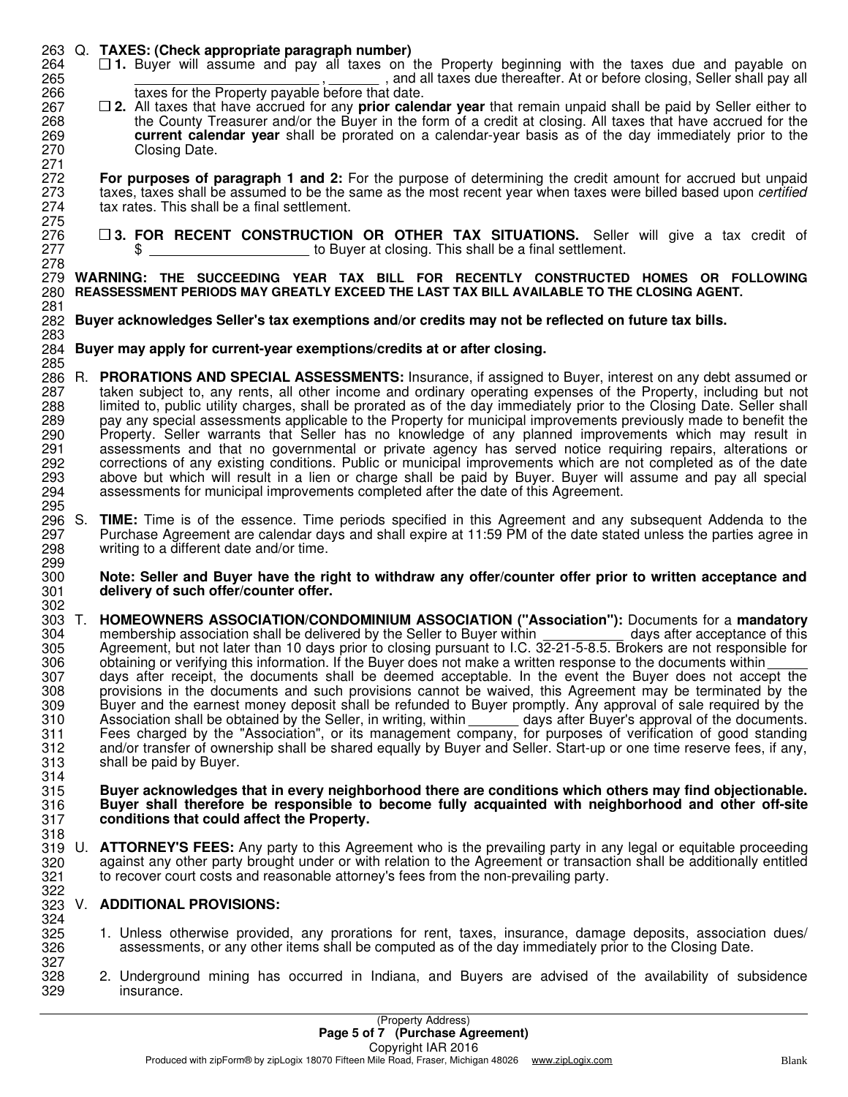## Q. **TAXES: (Check appropriate paragraph number)** 263

- 265 266 , and all taxes due thereafter. At or before closing, Seller shall pay all taxes for the Property payable before that date. 264 **1.** Buyer will assume and pay all taxes on the Property beginning with the taxes due and payable on
	- **2.** All taxes that have accrued for any **prior calendar year** that remain unpaid shall be paid by Seller either to the County Treasurer and/or the Buyer in the form of a credit at closing. All taxes that have accrued for the **current calendar year** shall be prorated on a calendar-year basis as of the day immediately prior to the Closing Date.

**For purposes of paragraph 1 and 2:** For the purpose of determining the credit amount for accrued but unpaid taxes, taxes shall be assumed to be the same as the most recent year when taxes were billed based upon *certified* tax rates. This shall be a final settlement.

275 276 277 □ 3. FOR RECENT CONSTRUCTION OR OTHER TAX SITUATIONS. Seller will give a tax credit of \$ \_\_\_\_\_\_\_\_\_\_\_\_\_\_\_\_\_\_\_\_\_\_\_\_\_ to Buyer at closing. This shall be a final settlement.

278 279 **WARNING: THE SUCCEEDING YEAR TAX BILL FOR RECENTLY CONSTRUCTED HOMES OR FOLLOWING** 280 **REASSESSMENT PERIODS MAY GREATLY EXCEED THE LAST TAX BILL AVAILABLE TO THE CLOSING AGENT.** 281

282 **Buyer acknowledges Seller's tax exemptions and/or credits may not be reflected on future tax bills.**

283 284 **Buyer may apply for current-year exemptions/credits at or after closing.**

- 285 286 R. 287 288 289 290 291 292 293 294 295 **PRORATIONS AND SPECIAL ASSESSMENTS:** Insurance, if assigned to Buyer, interest on any debt assumed or taken subject to, any rents, all other income and ordinary operating expenses of the Property, including but not limited to, public utility charges, shall be prorated as of the day immediately prior to the Closing Date. Seller shall pay any special assessments applicable to the Property for municipal improvements previously made to benefit the Property. Seller warrants that Seller has no knowledge of any planned improvements which may result in assessments and that no governmental or private agency has served notice requiring repairs, alterations or corrections of any existing conditions. Public or municipal improvements which are not completed as of the date above but which will result in a lien or charge shall be paid by Buyer. Buyer will assume and pay all special assessments for municipal improvements completed after the date of this Agreement.
- 296 S. 297 298 299 S. **TIME:** Time is of the essence. Time periods specified in this Agreement and any subsequent Addenda to the Purchase Agreement are calendar days and shall expire at 11:59 PM of the date stated unless the parties agree in writing to a different date and/or time.
- 300 301 **Note: Seller and Buyer have the right to withdraw any offer/counter offer prior to written acceptance and delivery of such offer/counter offer.**
- 302 303 T. 304 305 306 307 308 309 310 311 312 313 314 days after receipt, the documents shall be deemed acceptable. In the event the Buyer does not accept the provisions in the documents and such provisions cannot be waived, this Agreement may be terminated by the Buyer and the earnest money deposit shall be refunded to Buyer promptly. Any approval of sale required by the Association shall be obtained by the Seller, in writing, within \_\_\_\_\_\_ days after Buyer's approval of the documents. **HOMEOWNERS ASSOCIATION/CONDOMINIUM ASSOCIATION ("Association"):** Documents for a **mandatory** membership association shall be delivered by the Seller to Buyer within days after acceptance of this membership association shall be delivered by the Seller to Buyer within Agreement, but not later than 10 days prior to closing pursuant to I.C. 32-21-5-8.5. Brokers are not responsible for Fees charged by the "Association", or its management company, for purposes of verification of good standing and/or transfer of ownership shall be shared equally by Buyer and Seller. Start-up or one time reserve fees, if any, shall be paid by Buyer. obtaining or verifying this information. If the Buyer does not make a written response to the documents within

#### 315 316 **Buyer acknowledges that in every neighborhood there are conditions which others may find objectionable. Buyer shall therefore be responsible to become fully acquainted with neighborhood and other off-site conditions that could affect the Property.** 317

U. **ATTORNEY'S FEES:** Any party to this Agreement who is the prevailing party in any legal or equitable proceeding against any other party brought under or with relation to the Agreement or transaction shall be additionally entitled to recover court costs and reasonable attorney's fees from the non-prevailing party. 318 319 320 321 322

# V. **ADDITIONAL PROVISIONS:** 323

324 325 326

- 1. Unless otherwise provided, any prorations for rent, taxes, insurance, damage deposits, association dues/ assessments, or any other items shall be computed as of the day immediately prior to the Closing Date.
- 2. Underground mining has occurred in Indiana, and Buyers are advised of the availability of subsidence insurance. 327 328 329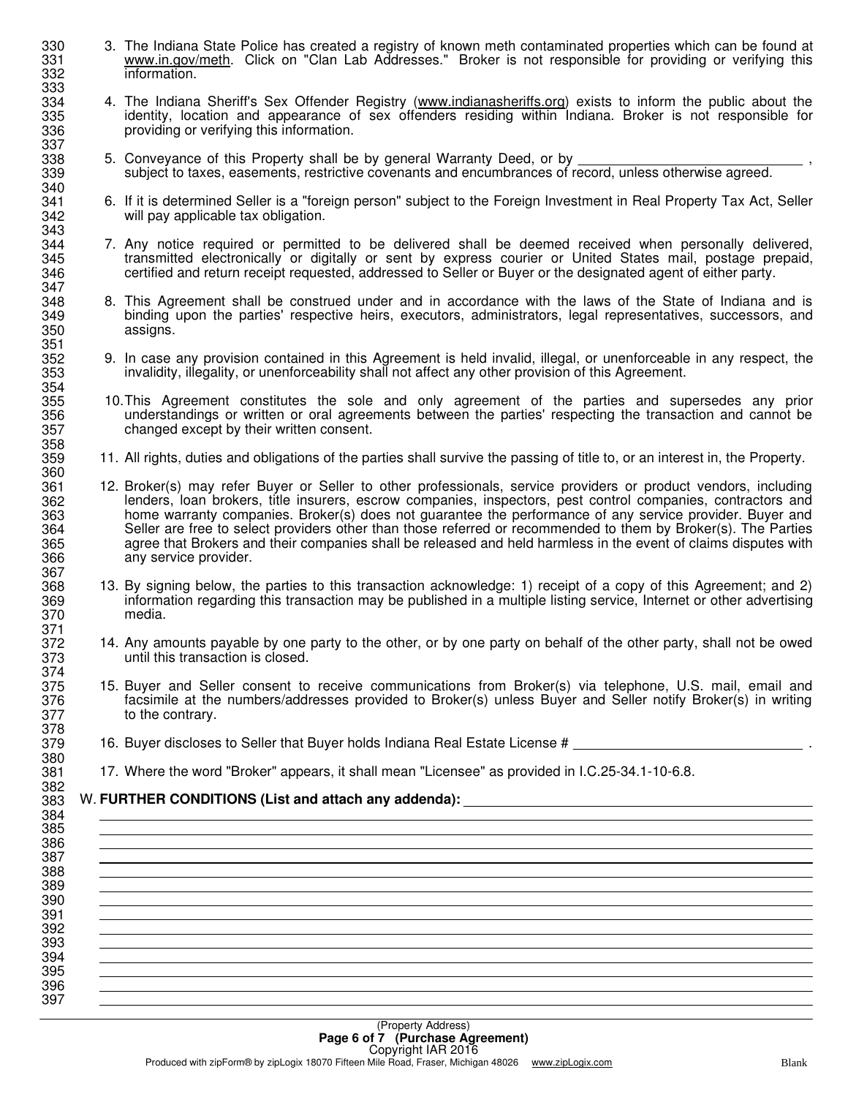- 3. The Indiana State Police has created a registry of known meth contaminated properties which can be found at www.in.gov/meth. Click on "Clan Lab Addresses." Broker is not responsible for providing or verifying this information.
- 4. The Indiana Sheriff's Sex Offender Registry (www.indianasheriffs.org) exists to inform the public about the identity, location and appearance of sex offenders residing within Indiana. Broker is not responsible for providing or verifying this information.
- 5. Conveyance of this Property shall be by general Warranty Deed, or by , subject to taxes, easements, restrictive covenants and encumbrances of record, unless otherwise agreed.
- 6. If it is determined Seller is a "foreign person" subject to the Foreign Investment in Real Property Tax Act, Seller will pay applicable tax obligation.
- 7. Any notice required or permitted to be delivered shall be deemed received when personally delivered, transmitted electronically or digitally or sent by express courier or United States mail, postage prepaid, certified and return receipt requested, addressed to Seller or Buyer or the designated agent of either party.
- 8. This Agreement shall be construed under and in accordance with the laws of the State of Indiana and is binding upon the parties' respective heirs, executors, administrators, legal representatives, successors, and assigns.
- 9. In case any provision contained in this Agreement is held invalid, illegal, or unenforceable in any respect, the invalidity, illegality, or unenforceability shall not affect any other provision of this Agreement.
- 10. This Agreement constitutes the sole and only agreement of the parties and supersedes any prior understandings or written or oral agreements between the parties' respecting the transaction and cannot be changed except by their written consent.
- 11. All rights, duties and obligations of the parties shall survive the passing of title to, or an interest in, the Property.
- 12. Broker(s) may refer Buyer or Seller to other professionals, service providers or product vendors, including lenders, loan brokers, title insurers, escrow companies, inspectors, pest control companies, contractors and home warranty companies. Broker(s) does not guarantee the performance of any service provider. Buyer and Seller are free to select providers other than those referred or recommended to them by Broker(s). The Parties agree that Brokers and their companies shall be released and held harmless in the event of claims disputes with any service provider.
- 13. By signing below, the parties to this transaction acknowledge: 1) receipt of a copy of this Agreement; and 2) information regarding this transaction may be published in a multiple listing service, Internet or other advertising media.
- 14. Any amounts payable by one party to the other, or by one party on behalf of the other party, shall not be owed until this transaction is closed.
- 15. Buyer and Seller consent to receive communications from Broker(s) via telephone, U.S. mail, email and facsimile at the numbers/addresses provided to Broker(s) unless Buyer and Seller notify Broker(s) in writing to the contrary.
- 16. Buyer discloses to Seller that Buyer holds Indiana Real Estate License # .
- Where the word "Broker" appears, it shall mean "Licensee" as provided in I.C.25-34.1-10-6.8. 17.

### W. **FURTHER CONDITIONS (List and attach any addenda):**